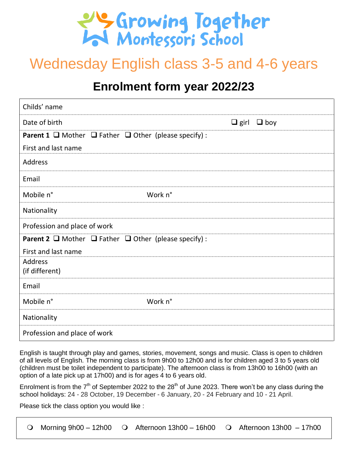

# Wednesday English class 3-5 and 4-6 years

## **Enrolment form year 2022/23**

| Childs' name                                                                |         |                           |
|-----------------------------------------------------------------------------|---------|---------------------------|
| Date of birth                                                               |         | $\Box$ girl<br>$\Box$ boy |
| <b>Parent 1</b> $\Box$ Mother $\Box$ Father $\Box$ Other (please specify) : |         |                           |
| First and last name                                                         |         |                           |
| <b>Address</b>                                                              |         |                           |
| Email                                                                       |         |                           |
| Mobile n°                                                                   | Work n° |                           |
| Nationality                                                                 |         |                           |
| Profession and place of work                                                |         |                           |
| <b>Parent 2</b> $\Box$ Mother $\Box$ Father $\Box$ Other (please specify) : |         |                           |
| First and last name                                                         |         |                           |
| <b>Address</b><br>(if different)                                            |         |                           |
| Email                                                                       |         |                           |
| Mobile n°                                                                   | Work n° |                           |
| Nationality                                                                 |         |                           |
| Profession and place of work                                                |         |                           |

English is taught through play and games, stories, movement, songs and music. Class is open to children of all levels of English. The morning class is from 9h00 to 12h00 and is for children aged 3 to 5 years old (children must be toilet independent to participate). The afternoon class is from 13h00 to 16h00 (with an option of a late pick up at 17h00) and is for ages 4 to 6 years old.

Enrolment is from the  $7<sup>th</sup>$  of September 2022 to the 28<sup>th</sup> of June 2023. There won't be any class during the school holidays: 24 - 28 October, 19 December - 6 January, 20 - 24 February and 10 - 21 April.

Please tick the class option you would like :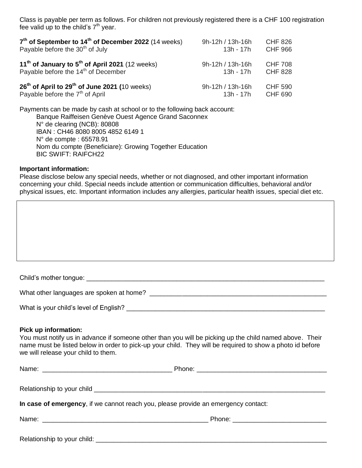Class is payable per term as follows. For children not previously registered there is a CHF 100 registration fee valid up to the child's  $7<sup>th</sup>$  year.

| $7th$ of September to 14 <sup>th</sup> of December 2022 (14 weeks) | 9h-12h / 13h-16h | <b>CHF 826</b> |
|--------------------------------------------------------------------|------------------|----------------|
| Payable before the 30 <sup>th</sup> of July                        | $13h - 17h$      | <b>CHF 966</b> |
| 11 <sup>th</sup> of January to $5th$ of April 2021 (12 weeks)      | 9h-12h / 13h-16h | <b>CHF 708</b> |
| Payable before the 14 <sup>th</sup> of December                    | $13h - 17h$      | <b>CHF 828</b> |
| $26th$ of April to $29th$ of June 2021 (10 weeks)                  | 9h-12h / 13h-16h | <b>CHF 590</b> |
| Payable before the 7 <sup>th</sup> of April                        | $13h - 17h$      | <b>CHF 690</b> |

Payments can be made by cash at school or to the following back account: Banque Raiffeisen Genève Ouest Agence Grand Saconnex N° de clearing (NCB): 80808 IBAN : CH46 8080 8005 4852 6149 1 N° de compte : 65578.91 Nom du compte (Beneficiare): Growing Together Education BIC SWIFT: RAIFCH22

#### **Important information:**

Please disclose below any special needs, whether or not diagnosed, and other important information concerning your child. Special needs include attention or communication difficulties, behavioral and/or physical issues, etc. Important information includes any allergies, particular health issues, special diet etc.

| Child's mother tongue: |
|------------------------|
|------------------------|

What other languages are spoken at home? \_\_\_\_\_\_\_\_\_\_\_\_\_\_\_\_\_\_\_\_\_\_\_\_\_\_\_\_\_\_\_\_\_\_\_\_\_\_\_\_\_\_\_\_\_\_\_\_\_

What is your child's level of English?

#### **Pick up information:**

You must notify us in advance if someone other than you will be picking up the child named above. Their name must be listed below in order to pick-up your child. They will be required to show a photo id before we will release your child to them.

| In case of emergency, if we cannot reach you, please provide an emergency contact: |  |
|------------------------------------------------------------------------------------|--|
|                                                                                    |  |
| Relationship to your child:                                                        |  |